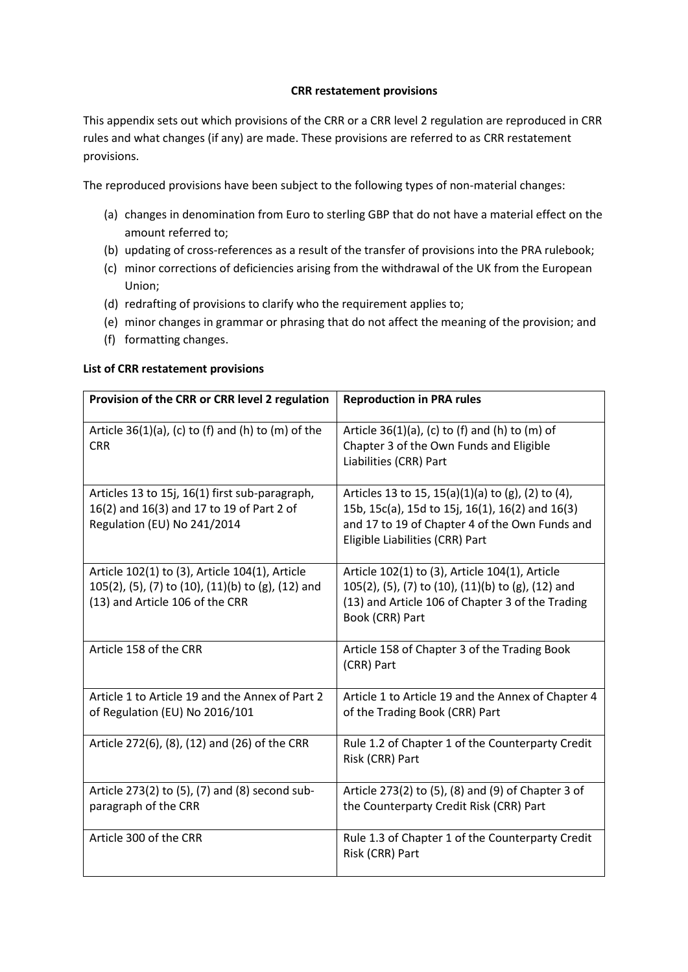## **CRR restatement provisions**

This appendix sets out which provisions of the CRR or a CRR level 2 regulation are reproduced in CRR rules and what changes (if any) are made. These provisions are referred to as CRR restatement provisions.

The reproduced provisions have been subject to the following types of non-material changes:

- (a) changes in denomination from Euro to sterling GBP that do not have a material effect on the amount referred to;
- (b) updating of cross-references as a result of the transfer of provisions into the PRA rulebook;
- (c) minor corrections of deficiencies arising from the withdrawal of the UK from the European Union;
- (d) redrafting of provisions to clarify who the requirement applies to;
- (e) minor changes in grammar or phrasing that do not affect the meaning of the provision; and
- (f) formatting changes.

## **List of CRR restatement provisions**

| Provision of the CRR or CRR level 2 regulation                                                                                          | <b>Reproduction in PRA rules</b>                                                                                                                                                           |
|-----------------------------------------------------------------------------------------------------------------------------------------|--------------------------------------------------------------------------------------------------------------------------------------------------------------------------------------------|
| Article $36(1)(a)$ , (c) to (f) and (h) to (m) of the<br><b>CRR</b>                                                                     | Article $36(1)(a)$ , (c) to (f) and (h) to (m) of<br>Chapter 3 of the Own Funds and Eligible<br>Liabilities (CRR) Part                                                                     |
| Articles 13 to 15j, 16(1) first sub-paragraph,<br>16(2) and 16(3) and 17 to 19 of Part 2 of<br>Regulation (EU) No 241/2014              | Articles 13 to 15, 15(a)(1)(a) to (g), (2) to (4),<br>15b, 15c(a), 15d to 15j, 16(1), 16(2) and 16(3)<br>and 17 to 19 of Chapter 4 of the Own Funds and<br>Eligible Liabilities (CRR) Part |
| Article 102(1) to (3), Article 104(1), Article<br>105(2), (5), (7) to (10), (11)(b) to (g), (12) and<br>(13) and Article 106 of the CRR | Article 102(1) to (3), Article 104(1), Article<br>105(2), (5), (7) to (10), (11)(b) to (g), (12) and<br>(13) and Article 106 of Chapter 3 of the Trading<br>Book (CRR) Part                |
| Article 158 of the CRR                                                                                                                  | Article 158 of Chapter 3 of the Trading Book<br>(CRR) Part                                                                                                                                 |
| Article 1 to Article 19 and the Annex of Part 2<br>of Regulation (EU) No 2016/101                                                       | Article 1 to Article 19 and the Annex of Chapter 4<br>of the Trading Book (CRR) Part                                                                                                       |
| Article 272(6), (8), (12) and (26) of the CRR                                                                                           | Rule 1.2 of Chapter 1 of the Counterparty Credit<br>Risk (CRR) Part                                                                                                                        |
| Article 273(2) to (5), (7) and (8) second sub-<br>paragraph of the CRR                                                                  | Article 273(2) to (5), (8) and (9) of Chapter 3 of<br>the Counterparty Credit Risk (CRR) Part                                                                                              |
| Article 300 of the CRR                                                                                                                  | Rule 1.3 of Chapter 1 of the Counterparty Credit<br>Risk (CRR) Part                                                                                                                        |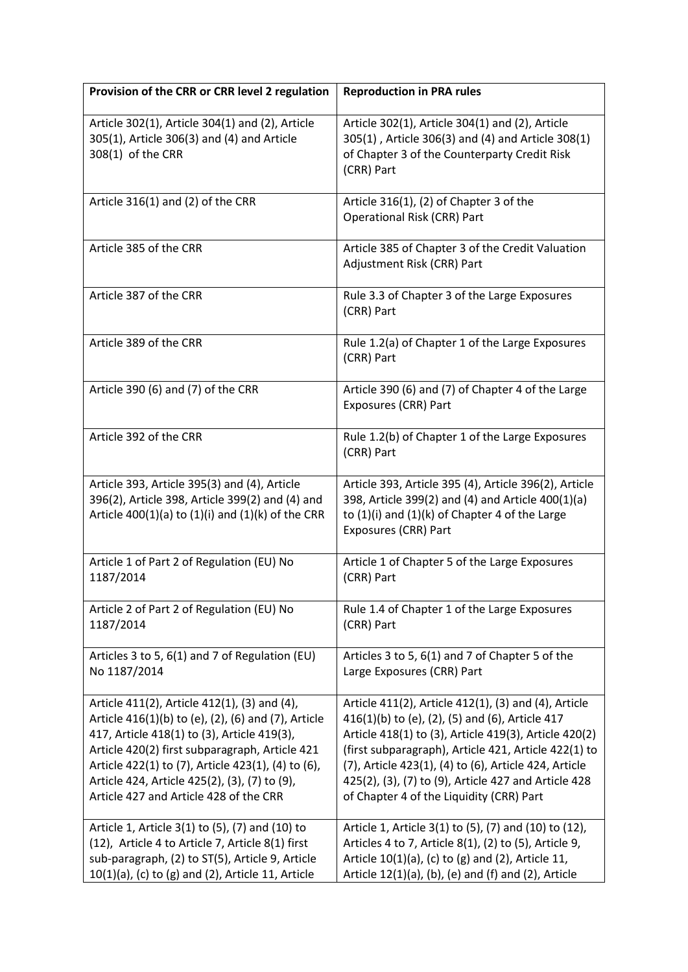| Provision of the CRR or CRR level 2 regulation                                                                                                                                                                                                                                                                                                                                                           | <b>Reproduction in PRA rules</b>                                                                                                                                                                                                                                                                                                                                                                                                               |
|----------------------------------------------------------------------------------------------------------------------------------------------------------------------------------------------------------------------------------------------------------------------------------------------------------------------------------------------------------------------------------------------------------|------------------------------------------------------------------------------------------------------------------------------------------------------------------------------------------------------------------------------------------------------------------------------------------------------------------------------------------------------------------------------------------------------------------------------------------------|
| Article 302(1), Article 304(1) and (2), Article<br>305(1), Article 306(3) and (4) and Article<br>308(1) of the CRR                                                                                                                                                                                                                                                                                       | Article 302(1), Article 304(1) and (2), Article<br>305(1), Article 306(3) and (4) and Article 308(1)<br>of Chapter 3 of the Counterparty Credit Risk<br>(CRR) Part                                                                                                                                                                                                                                                                             |
| Article 316(1) and (2) of the CRR                                                                                                                                                                                                                                                                                                                                                                        | Article 316(1), (2) of Chapter 3 of the<br><b>Operational Risk (CRR) Part</b>                                                                                                                                                                                                                                                                                                                                                                  |
| Article 385 of the CRR                                                                                                                                                                                                                                                                                                                                                                                   | Article 385 of Chapter 3 of the Credit Valuation<br>Adjustment Risk (CRR) Part                                                                                                                                                                                                                                                                                                                                                                 |
| Article 387 of the CRR                                                                                                                                                                                                                                                                                                                                                                                   | Rule 3.3 of Chapter 3 of the Large Exposures<br>(CRR) Part                                                                                                                                                                                                                                                                                                                                                                                     |
| Article 389 of the CRR                                                                                                                                                                                                                                                                                                                                                                                   | Rule 1.2(a) of Chapter 1 of the Large Exposures<br>(CRR) Part                                                                                                                                                                                                                                                                                                                                                                                  |
| Article 390 (6) and (7) of the CRR                                                                                                                                                                                                                                                                                                                                                                       | Article 390 (6) and (7) of Chapter 4 of the Large<br>Exposures (CRR) Part                                                                                                                                                                                                                                                                                                                                                                      |
| Article 392 of the CRR                                                                                                                                                                                                                                                                                                                                                                                   | Rule 1.2(b) of Chapter 1 of the Large Exposures<br>(CRR) Part                                                                                                                                                                                                                                                                                                                                                                                  |
| Article 393, Article 395(3) and (4), Article<br>396(2), Article 398, Article 399(2) and (4) and<br>Article $400(1)(a)$ to $(1)(i)$ and $(1)(k)$ of the CRR                                                                                                                                                                                                                                               | Article 393, Article 395 (4), Article 396(2), Article<br>398, Article 399(2) and (4) and Article 400(1)(a)<br>to (1)(i) and (1)(k) of Chapter 4 of the Large<br>Exposures (CRR) Part                                                                                                                                                                                                                                                           |
| Article 1 of Part 2 of Regulation (EU) No<br>1187/2014                                                                                                                                                                                                                                                                                                                                                   | Article 1 of Chapter 5 of the Large Exposures<br>(CRR) Part                                                                                                                                                                                                                                                                                                                                                                                    |
| Article 2 of Part 2 of Regulation (EU) No<br>1187/2014                                                                                                                                                                                                                                                                                                                                                   | Rule 1.4 of Chapter 1 of the Large Exposures<br>(CRR) Part                                                                                                                                                                                                                                                                                                                                                                                     |
| Articles 3 to 5, 6(1) and 7 of Regulation (EU)<br>No 1187/2014                                                                                                                                                                                                                                                                                                                                           | Articles 3 to 5, 6(1) and 7 of Chapter 5 of the<br>Large Exposures (CRR) Part                                                                                                                                                                                                                                                                                                                                                                  |
| Article 411(2), Article 412(1), (3) and (4),<br>Article 416(1)(b) to (e), (2), (6) and (7), Article<br>417, Article 418(1) to (3), Article 419(3),<br>Article 420(2) first subparagraph, Article 421<br>Article 422(1) to (7), Article 423(1), (4) to (6),<br>Article 424, Article 425(2), (3), (7) to (9),<br>Article 427 and Article 428 of the CRR<br>Article 1, Article 3(1) to (5), (7) and (10) to | Article 411(2), Article 412(1), (3) and (4), Article<br>416(1)(b) to (e), (2), (5) and (6), Article 417<br>Article 418(1) to (3), Article 419(3), Article 420(2)<br>(first subparagraph), Article 421, Article 422(1) to<br>(7), Article 423(1), (4) to (6), Article 424, Article<br>425(2), (3), (7) to (9), Article 427 and Article 428<br>of Chapter 4 of the Liquidity (CRR) Part<br>Article 1, Article 3(1) to (5), (7) and (10) to (12), |
| (12), Article 4 to Article 7, Article 8(1) first<br>sub-paragraph, (2) to ST(5), Article 9, Article<br>10(1)(a), (c) to (g) and (2), Article 11, Article                                                                                                                                                                                                                                                 | Articles 4 to 7, Article 8(1), (2) to (5), Article 9,<br>Article 10(1)(a), (c) to (g) and (2), Article 11,<br>Article $12(1)(a)$ , (b), (e) and (f) and (2), Article                                                                                                                                                                                                                                                                           |